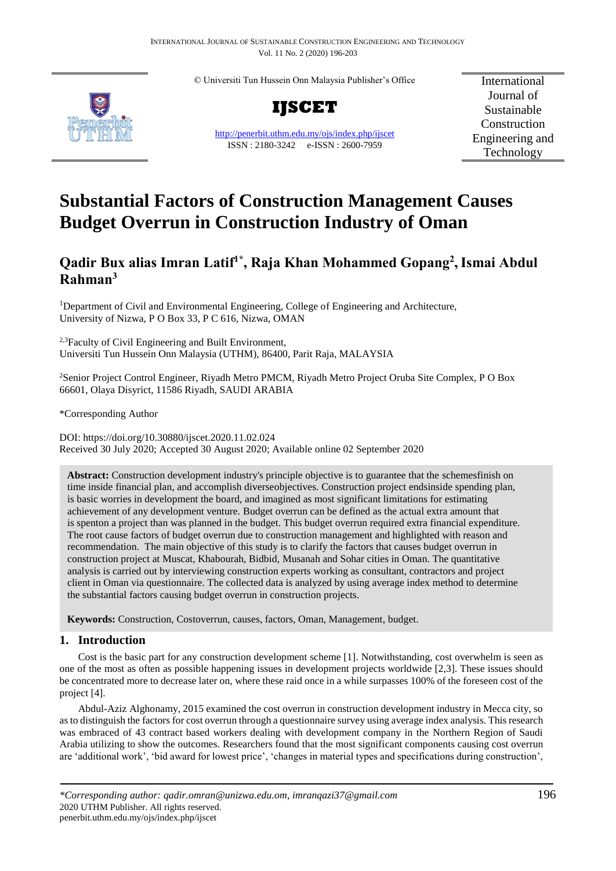© Universiti Tun Hussein Onn Malaysia Publisher's Office



**IJSCET**

<http://penerbit.uthm.edu.my/ojs/index.php/ijscet> ISSN : 2180-3242 e-ISSN : 2600-7959

International Journal of Sustainable Construction Engineering and Technology

# **Substantial Factors of Construction Management Causes Budget Overrun in Construction Industry of Oman**

## **Qadir Bux alias Imran Latif1\* , Raja Khan Mohammed Gopang<sup>2</sup> ,Ismai Abdul Rahman<sup>3</sup>**

<sup>1</sup>Department of Civil and Environmental Engineering, College of Engineering and Architecture, University of Nizwa, P O Box 33, P C 616, Nizwa, OMAN

<sup>2,3</sup>Faculty of Civil Engineering and Built Environment, Universiti Tun Hussein Onn Malaysia (UTHM), 86400, Parit Raja, MALAYSIA

<sup>2</sup>Senior Project Control Engineer, Riyadh Metro PMCM, Riyadh Metro Project Oruba Site Complex, P O Box 66601, Olaya Disyrict, 11586 Riyadh, SAUDI ARABIA

\*Corresponding Author

DOI: https://doi.org/10.30880/ijscet.2020.11.02.024 Received 30 July 2020; Accepted 30 August 2020; Available online 02 September 2020

**Abstract:** Construction development industry's principle objective is to guarantee that the schemesfinish on time inside financial plan, and accomplish diverseobjectives. Construction project endsinside spending plan, is basic worries in development the board, and imagined as most significant limitations for estimating achievement of any development venture. Budget overrun can be defined as the [actual](https://dictionary.cambridge.org/dictionary/english/actual) [extra](https://dictionary.cambridge.org/dictionary/english/extra) [amount](https://dictionary.cambridge.org/dictionary/english/amount) that is [spento](https://dictionary.cambridge.org/dictionary/english/spent)n a [project](https://dictionary.cambridge.org/dictionary/english/project) than was [planned](https://dictionary.cambridge.org/dictionary/english/planned) in the [budget.](https://dictionary.cambridge.org/dictionary/english/budget) This budget overrun required extra financial expenditure. The root cause factors of budget overrun due to construction management and highlighted with reason and recommendation. The main objective of this study is to clarify the factors that causes budget overrun in construction project at Muscat, Khabourah, Bidbid, Musanah and Sohar cities in Oman. The quantitative analysis is carried out by interviewing construction experts working as consultant, contractors and project client in Oman via questionnaire. The collected data is analyzed by using average index method to determine the substantial factors causing budget overrun in construction projects.

**Keywords:** Construction, Costoverrun, causes, factors, Oman, Management, budget.

### **1. Introduction**

Cost is the basic part for any construction development scheme [1]. Notwithstanding, cost overwhelm is seen as one of the most as often as possible happening issues in development projects worldwide [2,3]. These issues should be concentrated more to decrease later on, where these raid once in a while surpasses 100% of the foreseen cost of the project [4].

Abdul-Aziz Alghonamy, 2015 examined the cost overrun in construction development industry in Mecca city, so as to distinguish the factors for cost overrun through a questionnaire survey using average index analysis. This research was embraced of 43 contract based workers dealing with development company in the Northern Region of Saudi Arabia utilizing to show the outcomes. Researchers found that the most significant components causing cost overrun are 'additional work', 'bid award for lowest price', 'changes in material types and specifications during construction',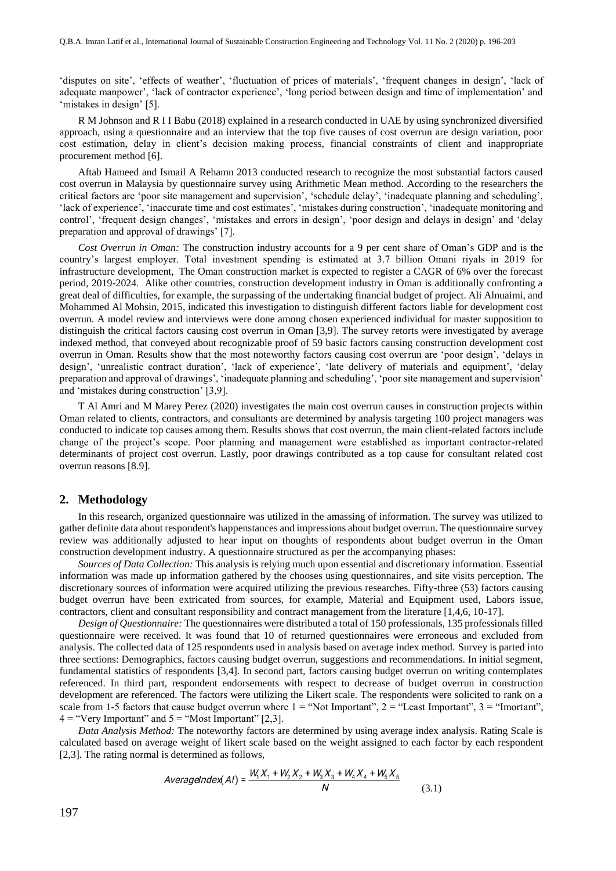'disputes on site', 'effects of weather', 'fluctuation of prices of materials', 'frequent changes in design', 'lack of adequate manpower', 'lack of contractor experience', 'long period between design and time of implementation' and 'mistakes in design' [5].

R M Johnson and R I I Babu (2018) explained in a research conducted in UAE by using synchronized diversified approach, using a questionnaire and an interview that the top five causes of cost overrun are design variation, poor cost estimation, delay in client's decision making process, financial constraints of client and inappropriate procurement method [6].

Aftab Hameed and Ismail A Rehamn 2013 conducted research to recognize the most substantial factors caused cost overrun in Malaysia by questionnaire survey using Arithmetic Mean method. According to the researchers the critical factors are 'poor site management and supervision', 'schedule delay', 'inadequate planning and scheduling', 'lack of experience', 'inaccurate time and cost estimates', 'mistakes during construction', 'inadequate monitoring and control', 'frequent design changes', 'mistakes and errors in design', 'poor design and delays in design' and 'delay preparation and approval of drawings' [7].

*Cost Overrun in Oman:* The construction industry accounts for a 9 per cent share of Oman's GDP and is the country's largest employer. Total investment spending is estimated at 3.7 billion Omani riyals in 2019 for infrastructure development, The Oman construction market is expected to register a CAGR of 6% over the forecast period, 2019-2024. Alike other countries, construction development industry in Oman is additionally confronting a great deal of difficulties, for example, the surpassing of the undertaking financial budget of project. Ali Alnuaimi, and Mohammed Al Mohsin, 2015, indicated this investigation to distinguish different factors liable for development cost overrun. A model review and interviews were done among chosen experienced individual for master supposition to distinguish the critical factors causing cost overrun in Oman [3,9]. The survey retorts were investigated by average indexed method, that conveyed about recognizable proof of 59 basic factors causing construction development cost overrun in Oman. Results show that the most noteworthy factors causing cost overrun are 'poor design', 'delays in design', 'unrealistic contract duration', 'lack of experience', 'late delivery of materials and equipment', 'delay preparation and approval of drawings', 'inadequate planning and scheduling', 'poor site management and supervision' and 'mistakes during construction' [3,9].

T Al Amri and M Marey Perez (2020) investigates the main cost overrun causes in construction projects within Oman related to clients, contractors, and consultants are determined by analysis targeting 100 project managers was conducted to indicate top causes among them. Results shows that cost overrun, the main client-related factors include change of the project's scope. Poor planning and management were established as important contractor-related determinants of project cost overrun. Lastly, poor drawings contributed as a top cause for consultant related cost overrun reasons [8.9].

#### **2. Methodology**

In this research, organized questionnaire was utilized in the amassing of information. The survey was utilized to gather definite data about respondent's happenstances and impressions about budget overrun. The questionnaire survey review was additionally adjusted to hear input on thoughts of respondents about budget overrun in the Oman construction development industry. A questionnaire structured as per the accompanying phases:

*Sources of Data Collection:* This analysis is relying much upon essential and discretionary information. Essential information was made up information gathered by the chooses using questionnaires, and site visits perception. The discretionary sources of information were acquired utilizing the previous researches. Fifty-three (53) factors causing budget overrun have been extricated from sources, for example, Material and Equipment used, Labors issue, contractors, client and consultant responsibility and contract management from the literature [1,4,6, 10-17].

*Design of Questionnaire:* The questionnaires were distributed a total of 150 professionals, 135 professionals filled questionnaire were received. It was found that 10 of returned questionnaires were erroneous and excluded from analysis. The collected data of 125 respondents used in analysis based on average index method. Survey is parted into three sections: Demographics, factors causing budget overrun, suggestions and recommendations. In initial segment, fundamental statistics of respondents [3,4]. In second part, factors causing budget overrun on writing contemplates referenced. In third part, respondent endorsements with respect to decrease of budget overrun in construction development are referenced. The factors were utilizing the Likert scale. The respondents were solicited to rank on a scale from 1-5 factors that cause budget overrun where  $1 =$  "Not Important",  $2 =$  "Least Important",  $3 =$  "Imortant",  $4 =$  "Very Important" and  $5 =$  "Most Important" [2,3].

*Data Analysis Method:* The noteworthy factors are determined by using average index analysis. Rating Scale is calculated based on average weight of likert scale based on the weight assigned to each factor by each respondent [2,3]. The rating normal is determined as follows,

$$
AverageIndex(AI) = \frac{W_1X_1 + W_2X_2 + W_3X_3 + W_4X_4 + W_5X_5}{N}
$$
\n(3.1)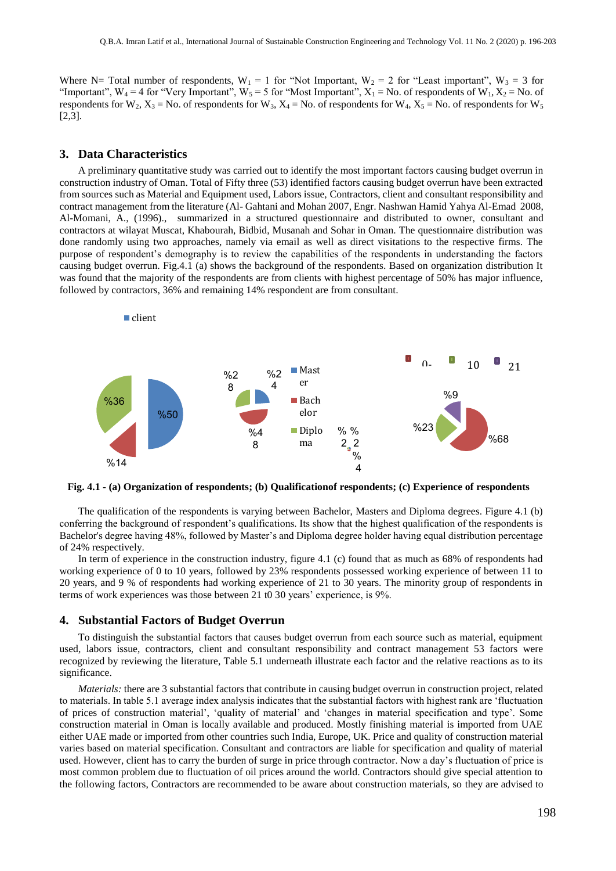Where N= Total number of respondents,  $W_1 = 1$  for "Not Important,  $W_2 = 2$  for "Least important",  $W_3 = 3$  for "Important",  $W_4 = 4$  for "Very Important",  $W_5 = 5$  for "Most Important",  $X_1 = No$ . of respondents of  $W_1, X_2 = No$ . of respondents for  $W_2$ ,  $X_3 = No$ . of respondents for  $W_3$ ,  $X_4 = No$ . of respondents for  $W_4$ ,  $X_5 = No$ . of respondents for  $W_5$ [2,3].

#### **3. Data Characteristics**

A preliminary quantitative study was carried out to identify the most important factors causing budget overrun in construction industry of Oman. Total of Fifty three (53) identified factors causing budget overrun have been extracted from sources such as Material and Equipment used, Labors issue, Contractors, client and consultant responsibility and contract management from the literature (Al- Gahtani and Mohan 2007, Engr. Nashwan Hamid Yahya Al-Emad 2008, Al-Momani, A., (1996)., summarized in a structured questionnaire and distributed to owner, consultant and contractors at wilayat Muscat, Khabourah, Bidbid, Musanah and Sohar in Oman. The questionnaire distribution was done randomly using two approaches, namely via email as well as direct visitations to the respective firms. The purpose of respondent's demography is to review the capabilities of the respondents in understanding the factors causing budget overrun. Fig.4.1 (a) shows the background of the respondents. Based on organization distribution It was found that the majority of the respondents are from clients with highest percentage of 50% has major influence, followed by contractors, 36% and remaining 14% respondent are from consultant.



**Fig. 4.1 - (a) Organization of respondents; (b) Qualificationof respondents; (c) Experience of respondents**

The qualification of the respondents is varying between Bachelor, Masters and Diploma degrees. Figure 4.1 (b) conferring the background of respondent's qualifications. Its show that the highest qualification of the respondents is Bachelor's degree having 48%, followed by Master's and Diploma degree holder having equal distribution percentage of 24% respectively.

In term of experience in the construction industry, figure 4.1 (c) found that as much as 68% of respondents had working experience of 0 to 10 years, followed by 23% respondents possessed working experience of between 11 to 20 years, and 9 % of respondents had working experience of 21 to 30 years. The minority group of respondents in terms of work experiences was those between 21 t0 30 years' experience, is 9%.

#### **4. Substantial Factors of Budget Overrun**

To distinguish the substantial factors that causes budget overrun from each source such as material, equipment used, labors issue, contractors, client and consultant responsibility and contract management 53 factors were recognized by reviewing the literature, Table 5.1 underneath illustrate each factor and the relative reactions as to its significance.

*Materials:* there are 3 substantial factors that contribute in causing budget overrun in construction project, related to materials. In table 5.1 average index analysis indicates that the substantial factors with highest rank are 'fluctuation of prices of construction material', 'quality of material' and 'changes in material specification and type'. Some construction material in Oman is locally available and produced. Mostly finishing material is imported from UAE either UAE made or imported from other countries such India, Europe, UK. Price and quality of construction material varies based on material specification. Consultant and contractors are liable for specification and quality of material used. However, client has to carry the burden of surge in price through contractor. Now a day's fluctuation of price is most common problem due to fluctuation of oil prices around the world. Contractors should give special attention to the following factors, Contractors are recommended to be aware about construction materials, so they are advised to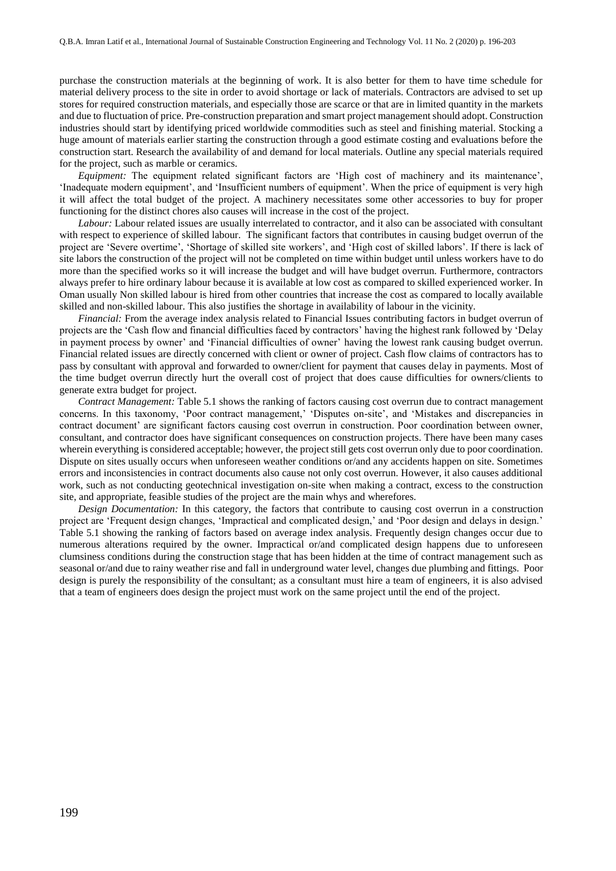purchase the construction materials at the beginning of work. It is also better for them to have time schedule for material delivery process to the site in order to avoid shortage or lack of materials. Contractors are advised to set up stores for required construction materials, and especially those are scarce or that are in limited quantity in the markets and due to fluctuation of price. Pre-construction preparation and smart project management should adopt. Construction industries should start by identifying priced worldwide commodities such as steel and finishing material. Stocking a huge amount of materials earlier starting the construction through a good estimate costing and evaluations before the construction start. Research the availability of and demand for local materials. Outline any special materials required for the project, such as marble or ceramics.

*Equipment:* The equipment related significant factors are 'High cost of machinery and its maintenance', 'Inadequate modern equipment', and 'Insufficient numbers of equipment'. When the price of equipment is very high it will affect the total budget of the project. A machinery necessitates some other accessories to buy for proper functioning for the distinct chores also causes will increase in the cost of the project.

*Labour:* Labour related issues are usually interrelated to contractor, and it also can be associated with consultant with respect to experience of skilled labour. The significant factors that contributes in causing budget overrun of the project are 'Severe overtime', 'Shortage of skilled site workers', and 'High cost of skilled labors'. If there is lack of site labors the construction of the project will not be completed on time within budget until unless workers have to do more than the specified works so it will increase the budget and will have budget overrun. Furthermore, contractors always prefer to hire ordinary labour because it is available at low cost as compared to skilled experienced worker. In Oman usually Non skilled labour is hired from other countries that increase the cost as compared to locally available skilled and non-skilled labour. This also justifies the shortage in availability of labour in the vicinity.

*Financial:* From the average index analysis related to Financial Issues contributing factors in budget overrun of projects are the 'Cash flow and financial difficulties faced by contractors' having the highest rank followed by 'Delay in payment process by owner' and 'Financial difficulties of owner' having the lowest rank causing budget overrun. Financial related issues are directly concerned with client or owner of project. Cash flow claims of contractors has to pass by consultant with approval and forwarded to owner/client for payment that causes delay in payments. Most of the time budget overrun directly hurt the overall cost of project that does cause difficulties for owners/clients to generate extra budget for project.

*Contract Management:* Table 5.1 shows the ranking of factors causing cost overrun due to contract management concerns. In this taxonomy, 'Poor contract management,' 'Disputes on-site', and 'Mistakes and discrepancies in contract document' are significant factors causing cost overrun in construction. Poor coordination between owner, consultant, and contractor does have significant consequences on construction projects. There have been many cases wherein everything is considered acceptable; however, the project still gets cost overrun only due to poor coordination. Dispute on sites usually occurs when unforeseen weather conditions or/and any accidents happen on site. Sometimes errors and inconsistencies in contract documents also cause not only cost overrun. However, it also causes additional work, such as not conducting geotechnical investigation on-site when making a contract, excess to the construction site, and appropriate, feasible studies of the project are the main whys and wherefores.

*Design Documentation:* In this category, the factors that contribute to causing cost overrun in a construction project are 'Frequent design changes, 'Impractical and complicated design,' and 'Poor design and delays in design.' Table 5.1 showing the ranking of factors based on average index analysis. Frequently design changes occur due to numerous alterations required by the owner. Impractical or/and complicated design happens due to unforeseen clumsiness conditions during the construction stage that has been hidden at the time of contract management such as seasonal or/and due to rainy weather rise and fall in underground water level, changes due plumbing and fittings. Poor design is purely the responsibility of the consultant; as a consultant must hire a team of engineers, it is also advised that a team of engineers does design the project must work on the same project until the end of the project.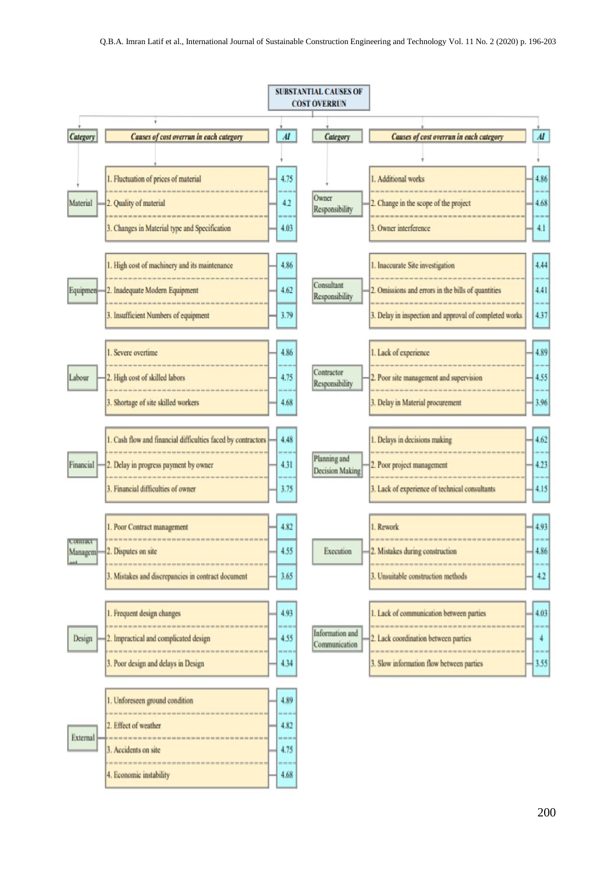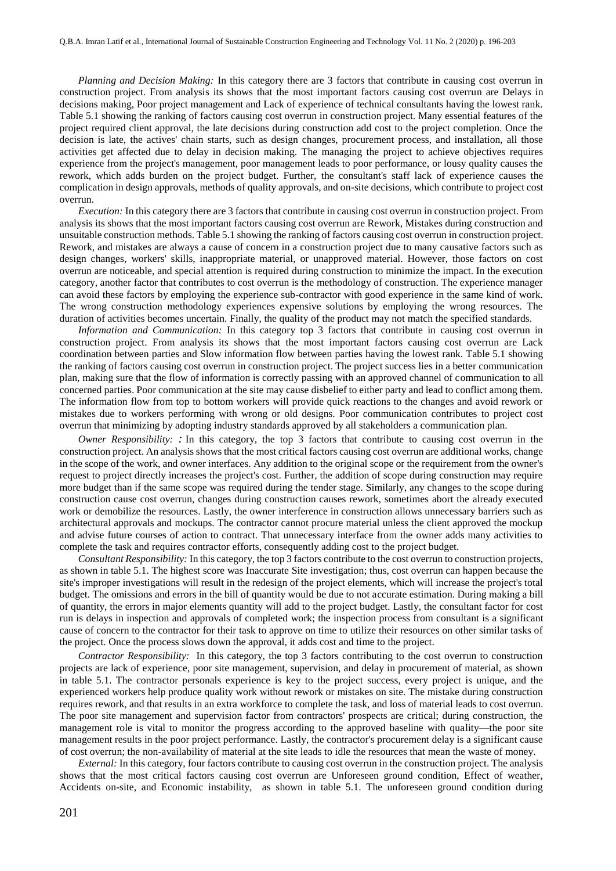*Planning and Decision Making:* In this category there are 3 factors that contribute in causing cost overrun in construction project. From analysis its shows that the most important factors causing cost overrun are Delays in decisions making, Poor project management and Lack of experience of technical consultants having the lowest rank. Table 5.1 showing the ranking of factors causing cost overrun in construction project. Many essential features of the project required client approval, the late decisions during construction add cost to the project completion. Once the decision is late, the actives' chain starts, such as design changes, procurement process, and installation, all those activities get affected due to delay in decision making. The managing the project to achieve objectives requires experience from the project's management, poor management leads to poor performance, or lousy quality causes the rework, which adds burden on the project budget. Further, the consultant's staff lack of experience causes the complication in design approvals, methods of quality approvals, and on-site decisions, which contribute to project cost overrun.

*Execution:* In this category there are 3 factors that contribute in causing cost overrun in construction project. From analysis its shows that the most important factors causing cost overrun are Rework, Mistakes during construction and unsuitable construction methods. Table 5.1 showing the ranking of factors causing cost overrun in construction project. Rework, and mistakes are always a cause of concern in a construction project due to many causative factors such as design changes, workers' skills, inappropriate material, or unapproved material. However, those factors on cost overrun are noticeable, and special attention is required during construction to minimize the impact. In the execution category, another factor that contributes to cost overrun is the methodology of construction. The experience manager can avoid these factors by employing the experience sub-contractor with good experience in the same kind of work. The wrong construction methodology experiences expensive solutions by employing the wrong resources. The duration of activities becomes uncertain. Finally, the quality of the product may not match the specified standards.

*Information and Communication:* In this category top 3 factors that contribute in causing cost overrun in construction project. From analysis its shows that the most important factors causing cost overrun are Lack coordination between parties and Slow information flow between parties having the lowest rank. Table 5.1 showing the ranking of factors causing cost overrun in construction project. The project success lies in a better communication plan, making sure that the flow of information is correctly passing with an approved channel of communication to all concerned parties. Poor communication at the site may cause disbelief to either party and lead to conflict among them. The information flow from top to bottom workers will provide quick reactions to the changes and avoid rework or mistakes due to workers performing with wrong or old designs. Poor communication contributes to project cost overrun that minimizing by adopting industry standards approved by all stakeholders a communication plan.

*Owner Responsibility: :* In this category, the top 3 factors that contribute to causing cost overrun in the construction project. An analysis shows that the most critical factors causing cost overrun are additional works, change in the scope of the work, and owner interfaces. Any addition to the original scope or the requirement from the owner's request to project directly increases the project's cost. Further, the addition of scope during construction may require more budget than if the same scope was required during the tender stage. Similarly, any changes to the scope during construction cause cost overrun, changes during construction causes rework, sometimes abort the already executed work or demobilize the resources. Lastly, the owner interference in construction allows unnecessary barriers such as architectural approvals and mockups. The contractor cannot procure material unless the client approved the mockup and advise future courses of action to contract. That unnecessary interface from the owner adds many activities to complete the task and requires contractor efforts, consequently adding cost to the project budget.

*Consultant Responsibility:* In this category, the top 3 factors contribute to the cost overrun to construction projects, as shown in table 5.1. The highest score was Inaccurate Site investigation; thus, cost overrun can happen because the site's improper investigations will result in the redesign of the project elements, which will increase the project's total budget. The omissions and errors in the bill of quantity would be due to not accurate estimation. During making a bill of quantity, the errors in major elements quantity will add to the project budget. Lastly, the consultant factor for cost run is delays in inspection and approvals of completed work; the inspection process from consultant is a significant cause of concern to the contractor for their task to approve on time to utilize their resources on other similar tasks of the project. Once the process slows down the approval, it adds cost and time to the project.

*Contractor Responsibility:* In this category, the top 3 factors contributing to the cost overrun to construction projects are lack of experience, poor site management, supervision, and delay in procurement of material, as shown in table 5.1. The contractor personals experience is key to the project success, every project is unique, and the experienced workers help produce quality work without rework or mistakes on site. The mistake during construction requires rework, and that results in an extra workforce to complete the task, and loss of material leads to cost overrun. The poor site management and supervision factor from contractors' prospects are critical; during construction, the management role is vital to monitor the progress according to the approved baseline with quality—the poor site management results in the poor project performance. Lastly, the contractor's procurement delay is a significant cause of cost overrun; the non-availability of material at the site leads to idle the resources that mean the waste of money.

*External:* In this category, four factors contribute to causing cost overrun in the construction project. The analysis shows that the most critical factors causing cost overrun are Unforeseen ground condition, Effect of weather, Accidents on-site, and Economic instability, as shown in table 5.1. The unforeseen ground condition during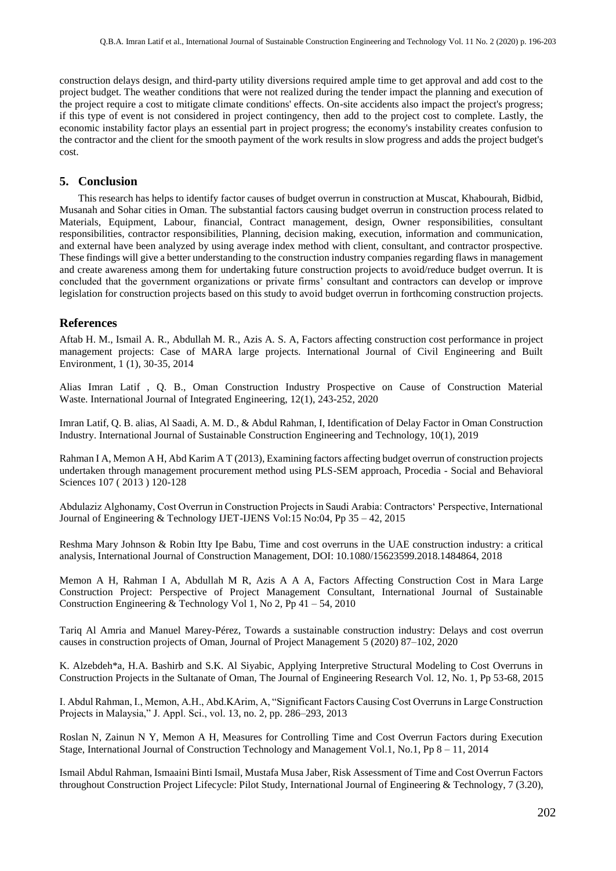construction delays design, and third-party utility diversions required ample time to get approval and add cost to the project budget. The weather conditions that were not realized during the tender impact the planning and execution of the project require a cost to mitigate climate conditions' effects. On-site accidents also impact the project's progress; if this type of event is not considered in project contingency, then add to the project cost to complete. Lastly, the economic instability factor plays an essential part in project progress; the economy's instability creates confusion to the contractor and the client for the smooth payment of the work results in slow progress and adds the project budget's cost.

#### **5. Conclusion**

This research has helps to identify factor causes of budget overrun in construction at Muscat, Khabourah, Bidbid, Musanah and Sohar cities in Oman. The substantial factors causing budget overrun in construction process related to Materials, Equipment, Labour, financial, Contract management, design, Owner responsibilities, consultant responsibilities, contractor responsibilities, Planning, decision making, execution, information and communication, and external have been analyzed by using average index method with client, consultant, and contractor prospective. These findings will give a better understanding to the construction industry companies regarding flaws in management and create awareness among them for undertaking future construction projects to avoid/reduce budget overrun. It is concluded that the government organizations or private firms' consultant and contractors can develop or improve legislation for construction projects based on this study to avoid budget overrun in forthcoming construction projects.

#### **References**

Aftab H. M., Ismail A. R., Abdullah M. R., Azis A. S. A, Factors affecting construction cost performance in project management projects: Case of MARA large projects. International Journal of Civil Engineering and Built Environment, 1 (1), 30-35, 2014

Alias Imran Latif , Q. B., Oman Construction Industry Prospective on Cause of Construction Material Waste. International Journal of Integrated Engineering, 12(1), 243-252, 2020

Imran Latif, Q. B. alias, Al Saadi, A. M. D., & Abdul Rahman, I, Identification of Delay Factor in Oman Construction Industry. International Journal of Sustainable Construction Engineering and Technology, 10(1), 2019

Rahman I A, Memon A H, Abd Karim A T (2013), Examining factors affecting budget overrun of construction projects undertaken through management procurement method using PLS-SEM approach, Procedia - Social and Behavioral Sciences 107 ( 2013 ) 120-128

Abdulaziz Alghonamy, Cost Overrun in Construction Projects in Saudi Arabia: Contractors' Perspective, International Journal of Engineering & Technology IJET-IJENS Vol:15 No:04, Pp 35 – 42, 2015

Reshma Mary Johnson & Robin Itty Ipe Babu, Time and cost overruns in the UAE construction industry: a critical analysis, International Journal of Construction Management, DOI: 10.1080/15623599.2018.1484864, 2018

Memon A H, Rahman I A, Abdullah M R, Azis A A A, Factors Affecting Construction Cost in Mara Large Construction Project: Perspective of Project Management Consultant, International Journal of Sustainable Construction Engineering & Technology Vol 1, No 2, Pp 41 – 54, 2010

Tariq Al Amria and Manuel Marey-Pérez, Towards a sustainable construction industry: Delays and cost overrun causes in construction projects of Oman, Journal of Project Management 5 (2020) 87–102, 2020

K. Alzebdeh\*a, H.A. Bashirb and S.K. Al Siyabic, Applying Interpretive Structural Modeling to Cost Overruns in Construction Projects in the Sultanate of Oman, The Journal of Engineering Research Vol. 12, No. 1, Pp 53-68, 2015

I. Abdul Rahman, I., Memon, A.H., Abd.KArim, A, "Significant Factors Causing Cost Overruns in Large Construction Projects in Malaysia," J. Appl. Sci., vol. 13, no. 2, pp. 286–293, 2013

Roslan N, Zainun N Y, Memon A H, Measures for Controlling Time and Cost Overrun Factors during Execution Stage, International Journal of Construction Technology and Management Vol.1, No.1, Pp 8 – 11, 2014

Ismail Abdul Rahman, Ismaaini Binti Ismail, Mustafa Musa Jaber, Risk Assessment of Time and Cost Overrun Factors throughout Construction Project Lifecycle: Pilot Study, International Journal of Engineering & Technology, 7 (3.20),